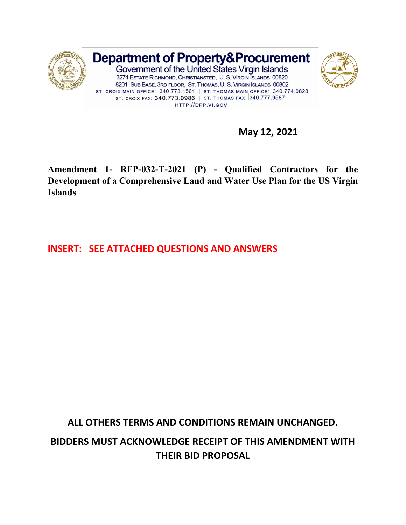

**May 12, 2021**

**Amendment 1- RFP-032-T-2021 (P) - Qualified Contractors for the Development of a Comprehensive Land and Water Use Plan for the US Virgin Islands** 

**INSERT: SEE ATTACHED QUESTIONS AND ANSWERS**

**ALL OTHERS TERMS AND CONDITIONS REMAIN UNCHANGED.**

**BIDDERS MUST ACKNOWLEDGE RECEIPT OF THIS AMENDMENT WITH THEIR BID PROPOSAL**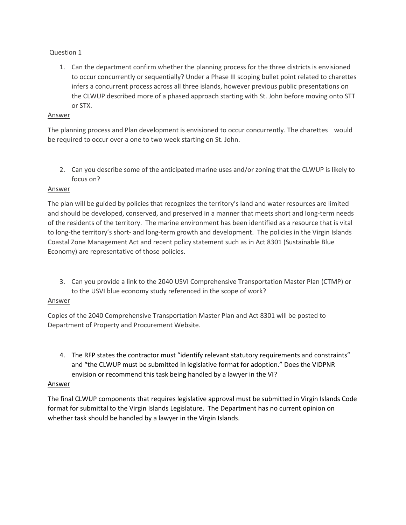# Question 1

1. Can the department confirm whether the planning process for the three districts is envisioned to occur concurrently or sequentially? Under a Phase III scoping bullet point related to charettes infers a concurrent process across all three islands, however previous public presentations on the CLWUP described more of a phased approach starting with St. John before moving onto STT or STX.

# Answer

The planning process and Plan development is envisioned to occur concurrently. The charettes would be required to occur over a one to two week starting on St. John.

2. Can you describe some of the anticipated marine uses and/or zoning that the CLWUP is likely to focus on?

### Answer

The plan will be guided by policies that recognizes the territory's land and water resources are limited and should be developed, conserved, and preserved in a manner that meets short and long-term needs of the residents of the territory. The marine environment has been identified as a resource that is vital to long-the territory's short- and long-term growth and development. The policies in the Virgin Islands Coastal Zone Management Act and recent policy statement such as in Act 8301 (Sustainable Blue Economy) are representative of those policies.

3. Can you provide a link to the 2040 USVI Comprehensive Transportation Master Plan (CTMP) or to the USVI blue economy study referenced in the scope of work?

### Answer

Copies of the 2040 Comprehensive Transportation Master Plan and Act 8301 will be posted to Department of Property and Procurement Website.

4. The RFP states the contractor must "identify relevant statutory requirements and constraints" and "the CLWUP must be submitted in legislative format for adoption." Does the VIDPNR envision or recommend this task being handled by a lawyer in the VI?

### Answer

The final CLWUP components that requires legislative approval must be submitted in Virgin Islands Code format for submittal to the Virgin Islands Legislature. The Department has no current opinion on whether task should be handled by a lawyer in the Virgin Islands.